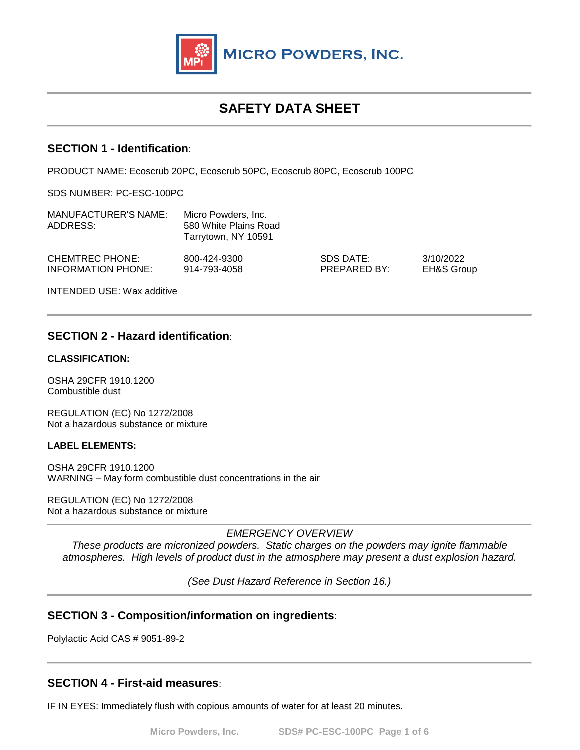

# **SAFETY DATA SHEET**

## **SECTION 1 - Identification**:

PRODUCT NAME: Ecoscrub 20PC, Ecoscrub 50PC, Ecoscrub 80PC, Ecoscrub 100PC

SDS NUMBER: PC-ESC-100PC

| <b>MANUFACTURER'S NAME:</b><br>ADDRESS: | Micro Powders, Inc.<br>580 White Plains Road<br>Tarrytown, NY 10591 |                           |                                    |
|-----------------------------------------|---------------------------------------------------------------------|---------------------------|------------------------------------|
| CHEMTREC PHONE:<br>INFORMATION PHONE:   | 800-424-9300<br>914-793-4058                                        | SDS DATE:<br>PREPARED BY: | 3/10/2022<br><b>EH&amp;S Group</b> |
| <b>INTENDED USE: Wax additive</b>       |                                                                     |                           |                                    |

# **SECTION 2 - Hazard identification**:

### **CLASSIFICATION:**

OSHA 29CFR 1910.1200 Combustible dust

REGULATION (EC) No 1272/2008 Not a hazardous substance or mixture

#### **LABEL ELEMENTS:**

OSHA 29CFR 1910.1200 WARNING – May form combustible dust concentrations in the air

REGULATION (EC) No 1272/2008 Not a hazardous substance or mixture

*EMERGENCY OVERVIEW*

*These products are micronized powders. Static charges on the powders may ignite flammable atmospheres. High levels of product dust in the atmosphere may present a dust explosion hazard.*

*(See Dust Hazard Reference in Section 16.)* 

# **SECTION 3 - Composition/information on ingredients**:

Polylactic Acid CAS # 9051-89-2

# **SECTION 4 - First-aid measures**:

IF IN EYES: Immediately flush with copious amounts of water for at least 20 minutes.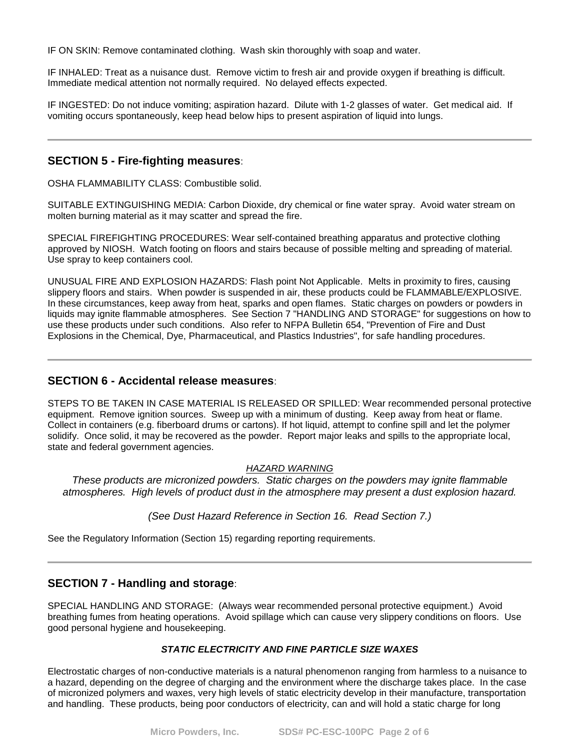IF ON SKIN: Remove contaminated clothing. Wash skin thoroughly with soap and water.

IF INHALED: Treat as a nuisance dust. Remove victim to fresh air and provide oxygen if breathing is difficult. Immediate medical attention not normally required. No delayed effects expected.

IF INGESTED: Do not induce vomiting; aspiration hazard. Dilute with 1-2 glasses of water. Get medical aid. If vomiting occurs spontaneously, keep head below hips to present aspiration of liquid into lungs.

## **SECTION 5 - Fire-fighting measures**:

OSHA FLAMMABILITY CLASS: Combustible solid.

SUITABLE EXTINGUISHING MEDIA: Carbon Dioxide, dry chemical or fine water spray. Avoid water stream on molten burning material as it may scatter and spread the fire.

SPECIAL FIREFIGHTING PROCEDURES: Wear self-contained breathing apparatus and protective clothing approved by NIOSH. Watch footing on floors and stairs because of possible melting and spreading of material. Use spray to keep containers cool.

UNUSUAL FIRE AND EXPLOSION HAZARDS: Flash point Not Applicable. Melts in proximity to fires, causing slippery floors and stairs. When powder is suspended in air, these products could be FLAMMABLE/EXPLOSIVE. In these circumstances, keep away from heat, sparks and open flames. Static charges on powders or powders in liquids may ignite flammable atmospheres. See Section 7 "HANDLING AND STORAGE" for suggestions on how to use these products under such conditions. Also refer to NFPA Bulletin 654, "Prevention of Fire and Dust Explosions in the Chemical, Dye, Pharmaceutical, and Plastics Industries", for safe handling procedures.

## **SECTION 6 - Accidental release measures**:

STEPS TO BE TAKEN IN CASE MATERIAL IS RELEASED OR SPILLED: Wear recommended personal protective equipment. Remove ignition sources. Sweep up with a minimum of dusting. Keep away from heat or flame. Collect in containers (e.g. fiberboard drums or cartons). If hot liquid, attempt to confine spill and let the polymer solidify. Once solid, it may be recovered as the powder. Report major leaks and spills to the appropriate local, state and federal government agencies.

#### *HAZARD WARNING*

*These products are micronized powders. Static charges on the powders may ignite flammable atmospheres. High levels of product dust in the atmosphere may present a dust explosion hazard.*

### *(See Dust Hazard Reference in Section 16. Read Section 7.)*

See the Regulatory Information (Section 15) regarding reporting requirements.

# **SECTION 7 - Handling and storage**:

SPECIAL HANDLING AND STORAGE: (Always wear recommended personal protective equipment.) Avoid breathing fumes from heating operations. Avoid spillage which can cause very slippery conditions on floors. Use good personal hygiene and housekeeping.

#### *STATIC ELECTRICITY AND FINE PARTICLE SIZE WAXES*

Electrostatic charges of non-conductive materials is a natural phenomenon ranging from harmless to a nuisance to a hazard, depending on the degree of charging and the environment where the discharge takes place. In the case of micronized polymers and waxes, very high levels of static electricity develop in their manufacture, transportation and handling. These products, being poor conductors of electricity, can and will hold a static charge for long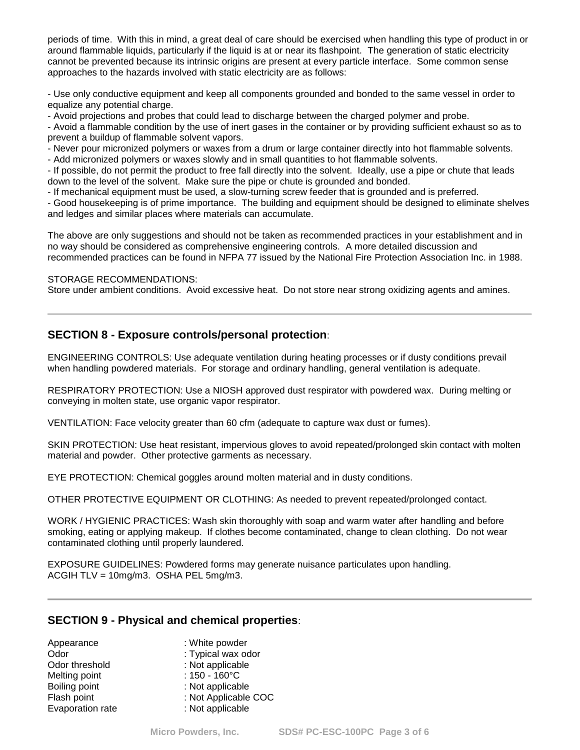periods of time. With this in mind, a great deal of care should be exercised when handling this type of product in or around flammable liquids, particularly if the liquid is at or near its flashpoint. The generation of static electricity cannot be prevented because its intrinsic origins are present at every particle interface. Some common sense approaches to the hazards involved with static electricity are as follows:

- Use only conductive equipment and keep all components grounded and bonded to the same vessel in order to equalize any potential charge.

- Avoid projections and probes that could lead to discharge between the charged polymer and probe.

- Avoid a flammable condition by the use of inert gases in the container or by providing sufficient exhaust so as to prevent a buildup of flammable solvent vapors.

- Never pour micronized polymers or waxes from a drum or large container directly into hot flammable solvents.

- Add micronized polymers or waxes slowly and in small quantities to hot flammable solvents.

- If possible, do not permit the product to free fall directly into the solvent. Ideally, use a pipe or chute that leads down to the level of the solvent. Make sure the pipe or chute is grounded and bonded.

- If mechanical equipment must be used, a slow-turning screw feeder that is grounded and is preferred.

- Good housekeeping is of prime importance. The building and equipment should be designed to eliminate shelves and ledges and similar places where materials can accumulate.

The above are only suggestions and should not be taken as recommended practices in your establishment and in no way should be considered as comprehensive engineering controls. A more detailed discussion and recommended practices can be found in NFPA 77 issued by the National Fire Protection Association Inc. in 1988.

#### STORAGE RECOMMENDATIONS:

Store under ambient conditions. Avoid excessive heat. Do not store near strong oxidizing agents and amines.

## **SECTION 8 - Exposure controls/personal protection**:

ENGINEERING CONTROLS: Use adequate ventilation during heating processes or if dusty conditions prevail when handling powdered materials. For storage and ordinary handling, general ventilation is adequate.

RESPIRATORY PROTECTION: Use a NIOSH approved dust respirator with powdered wax. During melting or conveying in molten state, use organic vapor respirator.

VENTILATION: Face velocity greater than 60 cfm (adequate to capture wax dust or fumes).

SKIN PROTECTION: Use heat resistant, impervious gloves to avoid repeated/prolonged skin contact with molten material and powder. Other protective garments as necessary.

EYE PROTECTION: Chemical goggles around molten material and in dusty conditions.

OTHER PROTECTIVE EQUIPMENT OR CLOTHING: As needed to prevent repeated/prolonged contact.

WORK / HYGIENIC PRACTICES: Wash skin thoroughly with soap and warm water after handling and before smoking, eating or applying makeup. If clothes become contaminated, change to clean clothing. Do not wear contaminated clothing until properly laundered.

EXPOSURE GUIDELINES: Powdered forms may generate nuisance particulates upon handling. ACGIH TLV = 10mg/m3. OSHA PEL 5mg/m3.

## **SECTION 9 - Physical and chemical properties**:

| Appearance       | : White powder          |
|------------------|-------------------------|
| Odor             | : Typical wax odor      |
| Odor threshold   | : Not applicable        |
| Melting point    | : $150 - 160^{\circ}$ C |
| Boiling point    | : Not applicable        |
| Flash point      | : Not Applicable COC    |
| Evaporation rate | : Not applicable        |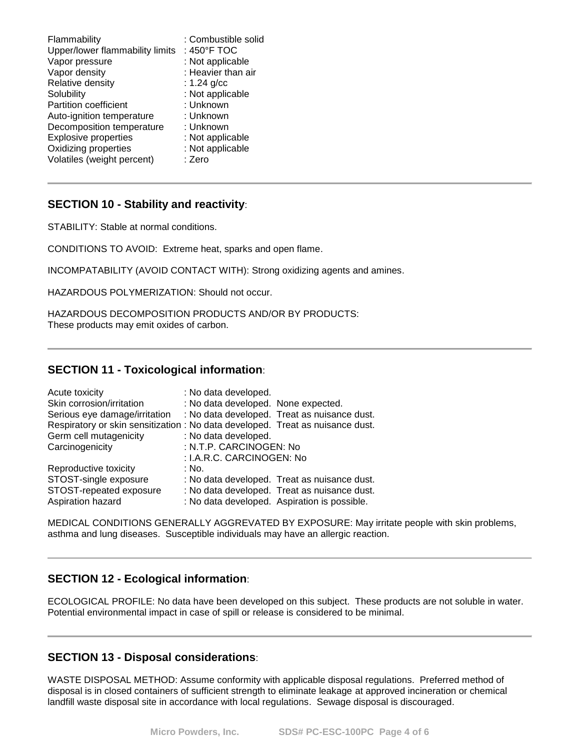| Flammability                    | : Combustible solid |
|---------------------------------|---------------------|
| Upper/lower flammability limits | : 450°F TOC         |
| Vapor pressure                  | : Not applicable    |
| Vapor density                   | : Heavier than air  |
| Relative density                | : $1.24$ g/cc       |
| Solubility                      | : Not applicable    |
| <b>Partition coefficient</b>    | : Unknown           |
| Auto-ignition temperature       | : Unknown           |
| Decomposition temperature       | : Unknown           |
| <b>Explosive properties</b>     | : Not applicable    |
| Oxidizing properties            | : Not applicable    |
| Volatiles (weight percent)      | : Zero              |

# **SECTION 10 - Stability and reactivity**:

STABILITY: Stable at normal conditions.

CONDITIONS TO AVOID: Extreme heat, sparks and open flame.

INCOMPATABILITY (AVOID CONTACT WITH): Strong oxidizing agents and amines.

HAZARDOUS POLYMERIZATION: Should not occur.

HAZARDOUS DECOMPOSITION PRODUCTS AND/OR BY PRODUCTS: These products may emit oxides of carbon.

## **SECTION 11 - Toxicological information**:

| Acute toxicity                                                                 | : No data developed.                |                                              |
|--------------------------------------------------------------------------------|-------------------------------------|----------------------------------------------|
| Skin corrosion/irritation                                                      | : No data developed. None expected. |                                              |
| Serious eye damage/irritation                                                  |                                     | : No data developed. Treat as nuisance dust. |
| Respiratory or skin sensitization : No data developed. Treat as nuisance dust. |                                     |                                              |
| Germ cell mutagenicity                                                         | : No data developed.                |                                              |
| Carcinogenicity                                                                | : N.T.P. CARCINOGEN: No             |                                              |
|                                                                                | : I.A.R.C. CARCINOGEN: No           |                                              |
| Reproductive toxicity                                                          | : No.                               |                                              |
| STOST-single exposure                                                          |                                     | : No data developed. Treat as nuisance dust. |
| STOST-repeated exposure                                                        |                                     | : No data developed. Treat as nuisance dust. |
| Aspiration hazard                                                              |                                     | : No data developed. Aspiration is possible. |

MEDICAL CONDITIONS GENERALLY AGGREVATED BY EXPOSURE: May irritate people with skin problems, asthma and lung diseases. Susceptible individuals may have an allergic reaction.

## **SECTION 12 - Ecological information**:

ECOLOGICAL PROFILE: No data have been developed on this subject. These products are not soluble in water. Potential environmental impact in case of spill or release is considered to be minimal.

## **SECTION 13 - Disposal considerations**:

WASTE DISPOSAL METHOD: Assume conformity with applicable disposal regulations. Preferred method of disposal is in closed containers of sufficient strength to eliminate leakage at approved incineration or chemical landfill waste disposal site in accordance with local regulations. Sewage disposal is discouraged.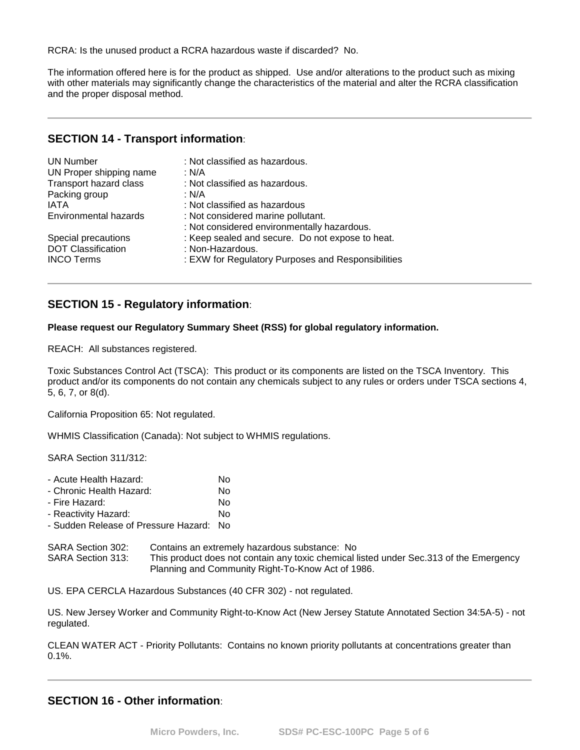RCRA: Is the unused product a RCRA hazardous waste if discarded? No.

The information offered here is for the product as shipped. Use and/or alterations to the product such as mixing with other materials may significantly change the characteristics of the material and alter the RCRA classification and the proper disposal method.

# **SECTION 14 - Transport information**:

| <b>UN Number</b><br>UN Proper shipping name<br>Transport hazard class<br>Packing group<br>IATA | : Not classified as hazardous.<br>: N/A<br>: Not classified as hazardous.<br>: N/A<br>: Not classified as hazardous |
|------------------------------------------------------------------------------------------------|---------------------------------------------------------------------------------------------------------------------|
| <b>Environmental hazards</b>                                                                   | : Not considered marine pollutant.<br>: Not considered environmentally hazardous.                                   |
| Special precautions                                                                            | : Keep sealed and secure. Do not expose to heat.                                                                    |
| <b>DOT Classification</b>                                                                      | : Non-Hazardous.                                                                                                    |
| <b>INCO Terms</b>                                                                              | : EXW for Regulatory Purposes and Responsibilities                                                                  |

# **SECTION 15 - Regulatory information**:

#### **Please request our Regulatory Summary Sheet (RSS) for global regulatory information.**

REACH: All substances registered.

Toxic Substances Control Act (TSCA): This product or its components are listed on the TSCA Inventory. This product and/or its components do not contain any chemicals subject to any rules or orders under TSCA sections 4, 5, 6, 7, or 8(d).

California Proposition 65: Not regulated.

WHMIS Classification (Canada): Not subject to WHMIS regulations.

SARA Section 311/312:

| - Acute Health Hazard:               | No  |
|--------------------------------------|-----|
| - Chronic Health Hazard:             | No  |
| - Fire Hazard:                       | No  |
| - Reactivity Hazard:                 | N٥  |
| - Sudden Release of Pressure Hazard: | No. |

SARA Section 302: Contains an extremely hazardous substance: No SARA Section 313: This product does not contain any toxic chemical listed under Sec.313 of the Emergency Planning and Community Right-To-Know Act of 1986.

US. EPA CERCLA Hazardous Substances (40 CFR 302) - not regulated.

US. New Jersey Worker and Community Right-to-Know Act (New Jersey Statute Annotated Section 34:5A-5) - not regulated.

CLEAN WATER ACT - Priority Pollutants: Contains no known priority pollutants at concentrations greater than 0.1%.

# **SECTION 16 - Other information**: